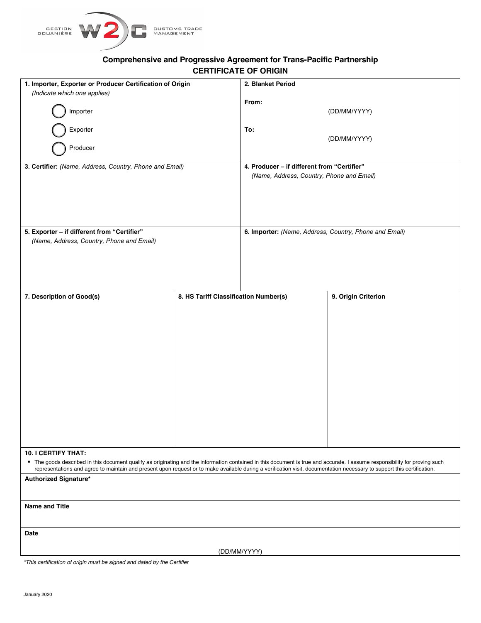

# **Comprehensive and Progressive Agreement for Trans-Pacific Partnership CERTIFICATE OF ORIGIN**

| 1. Importer, Exporter or Producer Certification of Origin<br>(Indicate which one applies)                                                                                                                                                                                                                                                                                            |                                       | 2. Blanket Period                                                                        |                     |
|--------------------------------------------------------------------------------------------------------------------------------------------------------------------------------------------------------------------------------------------------------------------------------------------------------------------------------------------------------------------------------------|---------------------------------------|------------------------------------------------------------------------------------------|---------------------|
| Importer                                                                                                                                                                                                                                                                                                                                                                             |                                       | From:                                                                                    | (DD/MM/YYYY)        |
| Exporter                                                                                                                                                                                                                                                                                                                                                                             |                                       | To:                                                                                      | (DD/MM/YYYY)        |
| Producer                                                                                                                                                                                                                                                                                                                                                                             |                                       |                                                                                          |                     |
| 3. Certifier: (Name, Address, Country, Phone and Email)                                                                                                                                                                                                                                                                                                                              |                                       | 4. Producer - if different from "Certifier"<br>(Name, Address, Country, Phone and Email) |                     |
|                                                                                                                                                                                                                                                                                                                                                                                      |                                       |                                                                                          |                     |
| 5. Exporter - if different from "Certifier"<br>(Name, Address, Country, Phone and Email)                                                                                                                                                                                                                                                                                             |                                       | 6. Importer: (Name, Address, Country, Phone and Email)                                   |                     |
|                                                                                                                                                                                                                                                                                                                                                                                      |                                       |                                                                                          |                     |
| 7. Description of Good(s)                                                                                                                                                                                                                                                                                                                                                            | 8. HS Tariff Classification Number(s) |                                                                                          | 9. Origin Criterion |
|                                                                                                                                                                                                                                                                                                                                                                                      |                                       |                                                                                          |                     |
|                                                                                                                                                                                                                                                                                                                                                                                      |                                       |                                                                                          |                     |
|                                                                                                                                                                                                                                                                                                                                                                                      |                                       |                                                                                          |                     |
|                                                                                                                                                                                                                                                                                                                                                                                      |                                       |                                                                                          |                     |
|                                                                                                                                                                                                                                                                                                                                                                                      |                                       |                                                                                          |                     |
|                                                                                                                                                                                                                                                                                                                                                                                      |                                       |                                                                                          |                     |
|                                                                                                                                                                                                                                                                                                                                                                                      |                                       |                                                                                          |                     |
|                                                                                                                                                                                                                                                                                                                                                                                      |                                       |                                                                                          |                     |
|                                                                                                                                                                                                                                                                                                                                                                                      |                                       |                                                                                          |                     |
|                                                                                                                                                                                                                                                                                                                                                                                      |                                       |                                                                                          |                     |
|                                                                                                                                                                                                                                                                                                                                                                                      |                                       |                                                                                          |                     |
| <b>10. I CERTIFY THAT:</b><br>" The goods described in this document qualify as originating and the information contained in this document is true and accurate. I assume responsibility for proving such<br>representations and agree to maintain and present upon request or to make available during a verification visit, documentation necessary to support this certification. |                                       |                                                                                          |                     |
| Authorized Signature*                                                                                                                                                                                                                                                                                                                                                                |                                       |                                                                                          |                     |
| <b>Name and Title</b>                                                                                                                                                                                                                                                                                                                                                                |                                       |                                                                                          |                     |
| Date                                                                                                                                                                                                                                                                                                                                                                                 |                                       |                                                                                          |                     |
| (DD/MM/YYYY)                                                                                                                                                                                                                                                                                                                                                                         |                                       |                                                                                          |                     |
|                                                                                                                                                                                                                                                                                                                                                                                      |                                       |                                                                                          |                     |

*\*This certification of origin must be signed and dated by the Certifier*